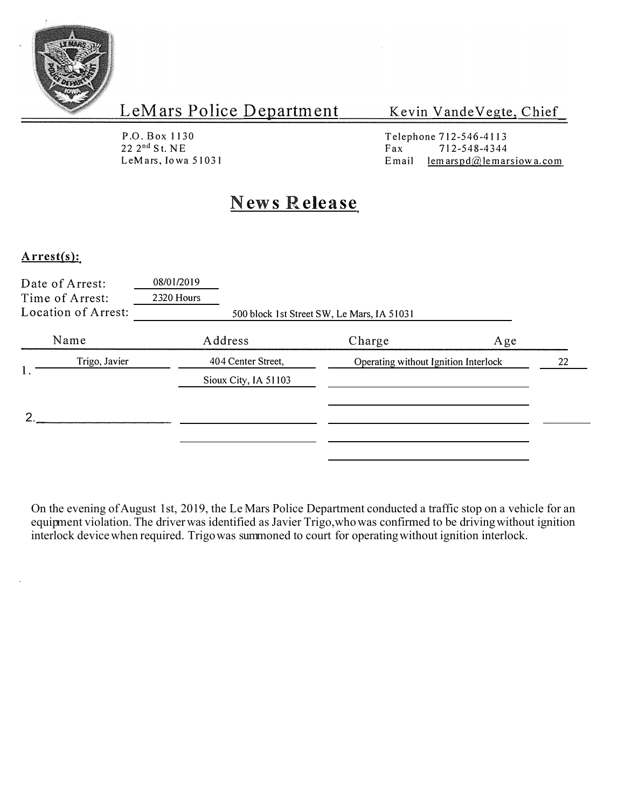

Kevin VandeVegte, Chief

P.O. Box 1130<br>22 2<sup>nd</sup> St. NE

T elephone 712-546-4113  $22 \t2<sup>nd</sup> St. NE$ <br>  $Le Mars, Iowa 51031$ <br>  $E mail$   $lemarspd@lemar$  $l$  em arspd $@$ , lem arsiow a.com

# **News Release**

### **Arrest(s):**

|      | 08/01/2019<br>Date of Arrest:<br>Time of Arrest:<br>2320 Hours<br>Location of Arrest:<br>500 block 1st Street SW, Le Mars, IA 51031 |                      |                                      |    |  |
|------|-------------------------------------------------------------------------------------------------------------------------------------|----------------------|--------------------------------------|----|--|
| Name |                                                                                                                                     | Address              | Charge<br>A ge                       |    |  |
|      | Trigo, Javier                                                                                                                       | 404 Center Street,   | Operating without Ignition Interlock | 22 |  |
|      |                                                                                                                                     | Sioux City, IA 51103 |                                      |    |  |
|      |                                                                                                                                     |                      |                                      |    |  |
|      |                                                                                                                                     |                      |                                      |    |  |

On the evening of August 1st, 2019, the Le Mars Police Department conducted a traffic stop on a vehicle for an equipment violation. The driver was identified as Javier Trigo,who was confirmed to be driving without ignition interlock device when required. Trigo was summoned to court for operating without ignition interlock.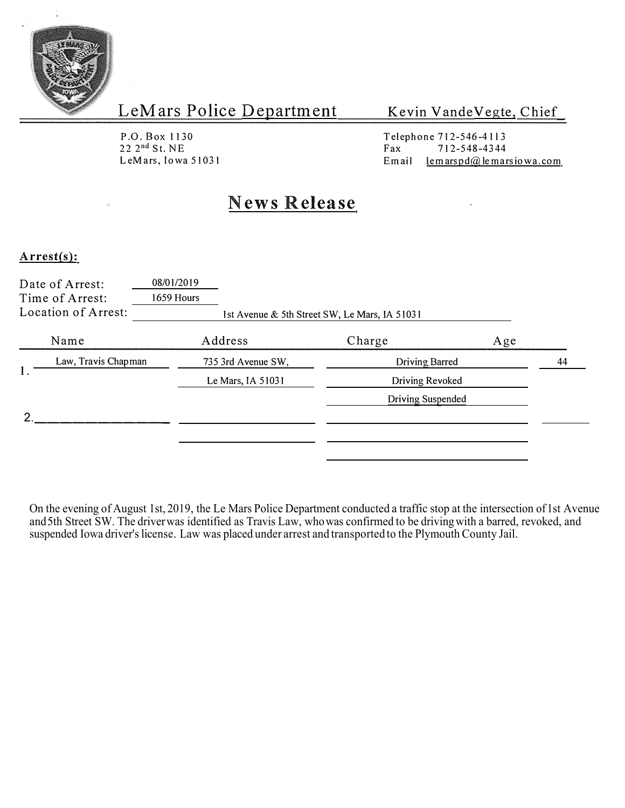

### Kevin Vande Vegte, Chief

P.O. Box 1130<br>22 2<sup>nd</sup> St. NE

Telephone 712-546-4113<br>Fax 712-548-4344  $22 \t2<sup>nd</sup>$  St. NE Fax 712-548-4344<br>LeMars, Iowa 51031 Email lemarspd $@$  lemar  $l$  emarspd $@$ , lemarsiowa.com

# **News Release**

#### **Arrest(s):**

|    | 08/01/2019<br>Date of Arrest:<br>Time of Arrest:<br>1659 Hours<br>Location of Arrest:<br>1st Avenue & 5th Street SW, Le Mars, IA 51031 |                    |                   |    |  |
|----|----------------------------------------------------------------------------------------------------------------------------------------|--------------------|-------------------|----|--|
|    | Name                                                                                                                                   | Address            | Charge<br>Age     |    |  |
| 1. | Law, Travis Chapman                                                                                                                    | 735 3rd Avenue SW, | Driving Barred    | 44 |  |
|    |                                                                                                                                        | Le Mars, IA 51031  | Driving Revoked   |    |  |
|    |                                                                                                                                        |                    | Driving Suspended |    |  |
| ∍  |                                                                                                                                        |                    |                   |    |  |
|    |                                                                                                                                        |                    |                   |    |  |

On the evening of August 1st, 2019, the Le Mars Police Department conducted a traffic stop at the intersection of 1st Avenue and 5th Street SW. The driver was identified as Travis Law, who was confirmed to be driving with a barred, revoked, and suspended Iowa driver's license. Law was placed under arrest and transported to the Plymouth County Jail.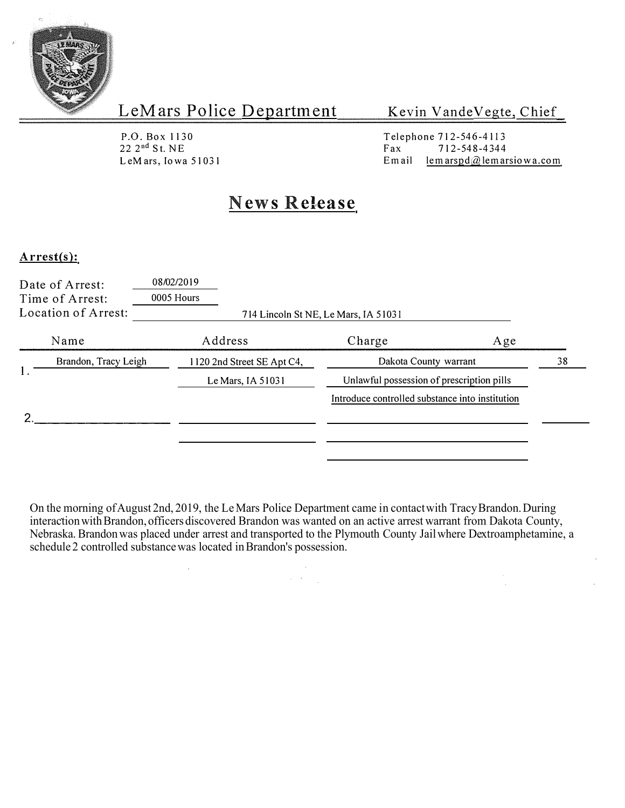

P.O. Box 1130<br>22 2<sup>nd</sup> St. NE

### Kevin VandeVegte, Chief

T elephone 712-546-4113  $22 \t2<sup>nd</sup> St. NE$ <br>  $LeMars, Iowa 51031$ <br>  $Email$   $lemarspd@lemar$  $l$ em ars $p$ d $@$ lem arsiowa.com

## **News Release**

#### **Arrest(s):**

| Date of Arrest:<br>Time of Arrest:<br>Location of Arrest: | 08/02/2019<br>0005 Hours                        | 714 Lincoln St NE, Le Mars, IA 51031                                                                                  |     |  |  |
|-----------------------------------------------------------|-------------------------------------------------|-----------------------------------------------------------------------------------------------------------------------|-----|--|--|
| Name                                                      | Address                                         | Charge                                                                                                                | Age |  |  |
| Brandon, Tracy Leigh                                      | 1120 2nd Street SE Apt C4,<br>Le Mars, IA 51031 | Dakota County warrant<br>Unlawful possession of prescription pills<br>Introduce controlled substance into institution | 38  |  |  |
|                                                           |                                                 |                                                                                                                       |     |  |  |

On the morning of August 2nd, 2019, the Le Mars Police Department came in contact with Tracy Brandon. During interaction with Brandon, officers discovered Brandon was wanted on an active arrest warrant from Dakota County, Nebraska. Brandon was placed under arrest and transported to the Plymouth County Jail where Dextroamphetamine, a schedule 2 controlled substance was located in Brandon's possession.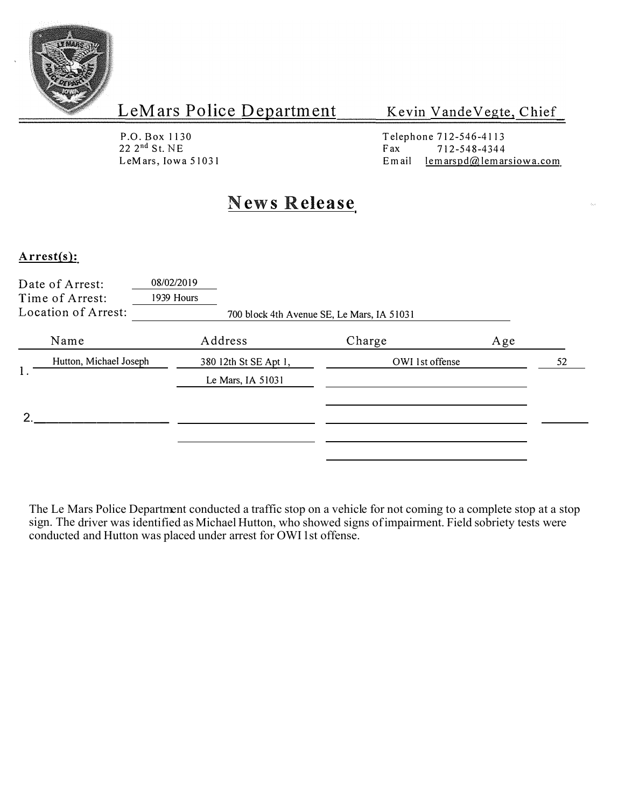

Kevin VandeVegte, Chief

P.O. Box 1130<br>22 2<sup>nd</sup> St. NE

T elephone 712-546-4113  $22 \t2<sup>nd</sup> St. NE$ <br>  $LeMars, Iowa 51031$ <br>  $Email$   $lemarspd@lemar$  $l$ em arspd $@$ , lemarsiowa.com

# **News Release**

### **Arrest(s):**

| Date of Arrest:<br>Time of Arrest:<br>Location of Arrest: | 08/02/2019<br>1939 Hours                   | 700 block 4th Avenue SE, Le Mars, IA 51031 |    |  |  |
|-----------------------------------------------------------|--------------------------------------------|--------------------------------------------|----|--|--|
| Name                                                      | Address                                    | Charge<br>Age                              |    |  |  |
| Hutton, Michael Joseph                                    | 380 12th St SE Apt 1,<br>Le Mars, IA 51031 | OWI 1st offense                            | 52 |  |  |
| ົ                                                         |                                            |                                            |    |  |  |

The Le Mars Police Department conducted a traffic stop on a vehicle for not coming to a complete stop at a stop sign. The driver was identified as Michael Hutton, who showed signs of impairment. Field sobriety tests were conducted and Hutton was placed under arrest for OWI 1st offense.